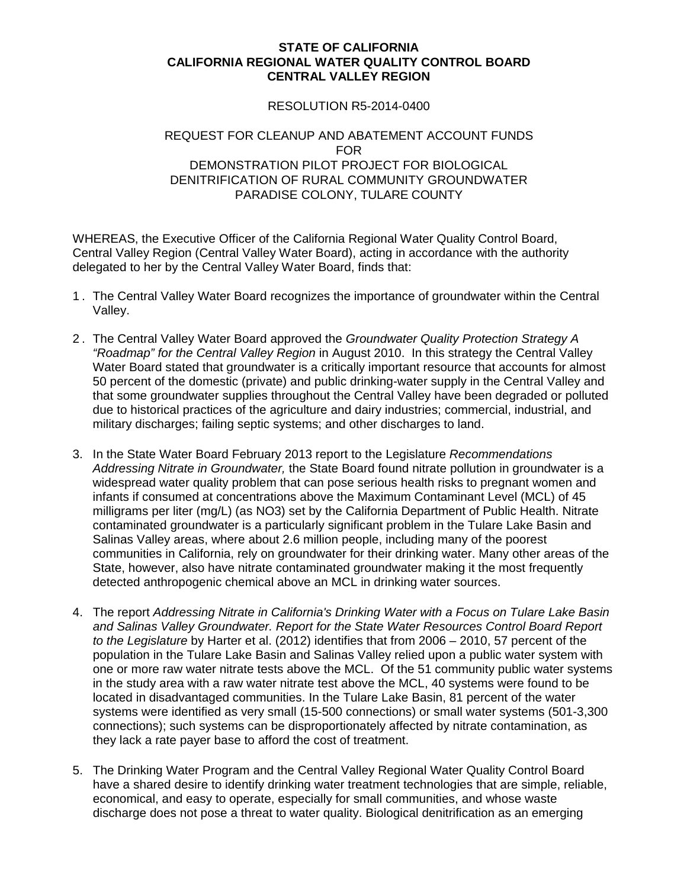## **STATE OF CALIFORNIA CALIFORNIA REGIONAL WATER QUALITY CONTROL BOARD CENTRAL VALLEY REGION**

## RESOLUTION R5-2014-0400

## REQUEST FOR CLEANUP AND ABATEMENT ACCOUNT FUNDS FOR DEMONSTRATION PILOT PROJECT FOR BIOLOGICAL DENITRIFICATION OF RURAL COMMUNITY GROUNDWATER PARADISE COLONY, TULARE COUNTY

WHEREAS, the Executive Officer of the California Regional Water Quality Control Board, Central Valley Region (Central Valley Water Board), acting in accordance with the authority delegated to her by the Central Valley Water Board, finds that:

- 1 . The Central Valley Water Board recognizes the importance of groundwater within the Central Valley.
- 2 . The Central Valley Water Board approved the *Groundwater Quality Protection Strategy A "Roadmap" for the Central Valley Region* in August 2010. In this strategy the Central Valley Water Board stated that groundwater is a critically important resource that accounts for almost 50 percent of the domestic (private) and public drinking-water supply in the Central Valley and that some groundwater supplies throughout the Central Valley have been degraded or polluted due to historical practices of the agriculture and dairy industries; commercial, industrial, and military discharges; failing septic systems; and other discharges to land.
- 3. In the State Water Board February 2013 report to the Legislature *Recommendations Addressing Nitrate in Groundwater,* the State Board found nitrate pollution in groundwater is a widespread water quality problem that can pose serious health risks to pregnant women and infants if consumed at concentrations above the Maximum Contaminant Level (MCL) of 45 milligrams per liter (mg/L) (as NO3) set by the California Department of Public Health. Nitrate contaminated groundwater is a particularly significant problem in the Tulare Lake Basin and Salinas Valley areas, where about 2.6 million people, including many of the poorest communities in California, rely on groundwater for their drinking water. Many other areas of the State, however, also have nitrate contaminated groundwater making it the most frequently detected anthropogenic chemical above an MCL in drinking water sources.
- 4. The report *Addressing Nitrate in California's Drinking Water with a Focus on Tulare Lake Basin and Salinas Valley Groundwater. Report for the State Water Resources Control Board Report to the Legislature* by Harter et al. (2012) identifies that from 2006 – 2010, 57 percent of the population in the Tulare Lake Basin and Salinas Valley relied upon a public water system with one or more raw water nitrate tests above the MCL. Of the 51 community public water systems in the study area with a raw water nitrate test above the MCL, 40 systems were found to be located in disadvantaged communities. In the Tulare Lake Basin, 81 percent of the water systems were identified as very small (15-500 connections) or small water systems (501-3,300 connections); such systems can be disproportionately affected by nitrate contamination, as they lack a rate payer base to afford the cost of treatment.
- 5. The Drinking Water Program and the Central Valley Regional Water Quality Control Board have a shared desire to identify drinking water treatment technologies that are simple, reliable, economical, and easy to operate, especially for small communities, and whose waste discharge does not pose a threat to water quality. Biological denitrification as an emerging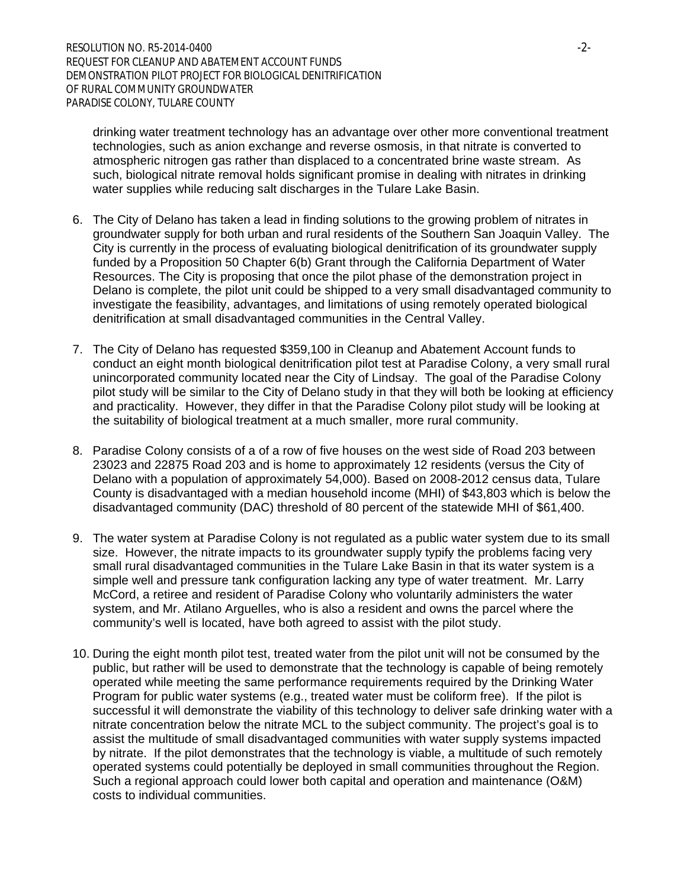drinking water treatment technology has an advantage over other more conventional treatment technologies, such as anion exchange and reverse osmosis, in that nitrate is converted to atmospheric nitrogen gas rather than displaced to a concentrated brine waste stream. As such, biological nitrate removal holds significant promise in dealing with nitrates in drinking water supplies while reducing salt discharges in the Tulare Lake Basin.

- 6. The City of Delano has taken a lead in finding solutions to the growing problem of nitrates in groundwater supply for both urban and rural residents of the Southern San Joaquin Valley. The City is currently in the process of evaluating biological denitrification of its groundwater supply funded by a Proposition 50 Chapter 6(b) Grant through the California Department of Water Resources. The City is proposing that once the pilot phase of the demonstration project in Delano is complete, the pilot unit could be shipped to a very small disadvantaged community to investigate the feasibility, advantages, and limitations of using remotely operated biological denitrification at small disadvantaged communities in the Central Valley.
- 7. The City of Delano has requested \$359,100 in Cleanup and Abatement Account funds to conduct an eight month biological denitrification pilot test at Paradise Colony, a very small rural unincorporated community located near the City of Lindsay. The goal of the Paradise Colony pilot study will be similar to the City of Delano study in that they will both be looking at efficiency and practicality. However, they differ in that the Paradise Colony pilot study will be looking at the suitability of biological treatment at a much smaller, more rural community.
- 8. Paradise Colony consists of a of a row of five houses on the west side of Road 203 between 23023 and 22875 Road 203 and is home to approximately 12 residents (versus the City of Delano with a population of approximately 54,000). Based on 2008-2012 census data, Tulare County is disadvantaged with a median household income (MHI) of \$43,803 which is below the disadvantaged community (DAC) threshold of 80 percent of the statewide MHI of \$61,400.
- 9. The water system at Paradise Colony is not regulated as a public water system due to its small size. However, the nitrate impacts to its groundwater supply typify the problems facing very small rural disadvantaged communities in the Tulare Lake Basin in that its water system is a simple well and pressure tank configuration lacking any type of water treatment. Mr. Larry McCord, a retiree and resident of Paradise Colony who voluntarily administers the water system, and Mr. Atilano Arguelles, who is also a resident and owns the parcel where the community's well is located, have both agreed to assist with the pilot study.
- 10. During the eight month pilot test, treated water from the pilot unit will not be consumed by the public, but rather will be used to demonstrate that the technology is capable of being remotely operated while meeting the same performance requirements required by the Drinking Water Program for public water systems (e.g., treated water must be coliform free). If the pilot is successful it will demonstrate the viability of this technology to deliver safe drinking water with a nitrate concentration below the nitrate MCL to the subject community. The project's goal is to assist the multitude of small disadvantaged communities with water supply systems impacted by nitrate. If the pilot demonstrates that the technology is viable, a multitude of such remotely operated systems could potentially be deployed in small communities throughout the Region. Such a regional approach could lower both capital and operation and maintenance (O&M) costs to individual communities.